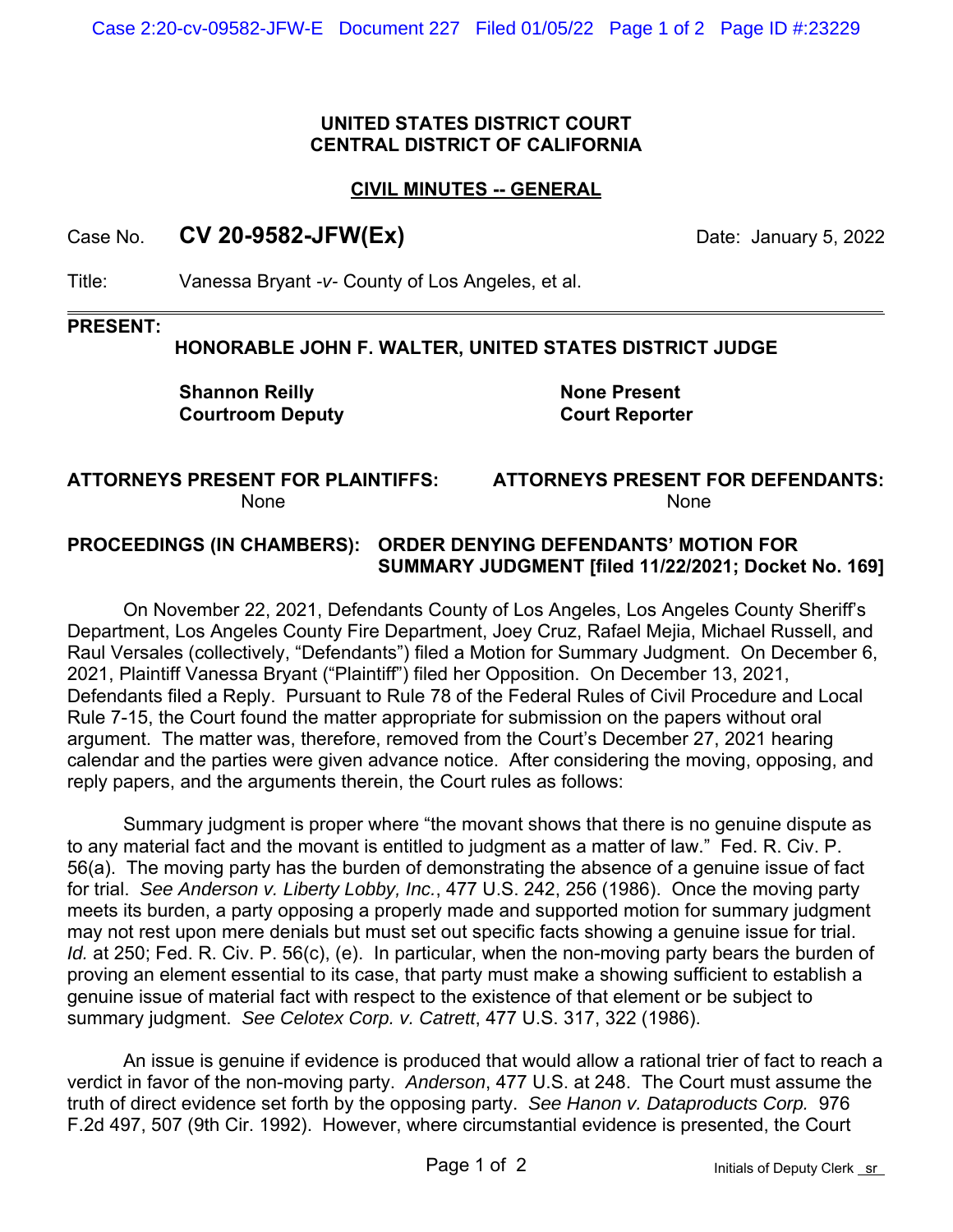### **UNITED STATES DISTRICT COURT CENTRAL DISTRICT OF CALIFORNIA**

### **CIVIL MINUTES -- GENERAL**

# Case No. **CV 20-9582-JFW(Ex)** Date: January 5, 2022

Title: Vanessa Bryant *-v-* County of Los Angeles, et al.

#### **PRESENT:**

## **HONORABLE JOHN F. WALTER, UNITED STATES DISTRICT JUDGE**

**Shannon Reilly Courtroom Deputy**

**None Present Court Reporter**

#### **ATTORNEYS PRESENT FOR PLAINTIFFS:** None

**ATTORNEYS PRESENT FOR DEFENDANTS:** None

## **PROCEEDINGS (IN CHAMBERS): ORDER DENYING DEFENDANTS' MOTION FOR SUMMARY JUDGMENT [filed 11/22/2021; Docket No. 169]**

On November 22, 2021, Defendants County of Los Angeles, Los Angeles County Sheriff's Department, Los Angeles County Fire Department, Joey Cruz, Rafael Mejia, Michael Russell, and Raul Versales (collectively, "Defendants") filed a Motion for Summary Judgment. On December 6, 2021, Plaintiff Vanessa Bryant ("Plaintiff") filed her Opposition. On December 13, 2021, Defendants filed a Reply. Pursuant to Rule 78 of the Federal Rules of Civil Procedure and Local Rule 7-15, the Court found the matter appropriate for submission on the papers without oral argument. The matter was, therefore, removed from the Court's December 27, 2021 hearing calendar and the parties were given advance notice. After considering the moving, opposing, and reply papers, and the arguments therein, the Court rules as follows:

Summary judgment is proper where "the movant shows that there is no genuine dispute as to any material fact and the movant is entitled to judgment as a matter of law." Fed. R. Civ. P. 56(a). The moving party has the burden of demonstrating the absence of a genuine issue of fact for trial. *See Anderson v. Liberty Lobby, Inc.*, 477 U.S. 242, 256 (1986). Once the moving party meets its burden, a party opposing a properly made and supported motion for summary judgment may not rest upon mere denials but must set out specific facts showing a genuine issue for trial. *Id.* at 250; Fed. R. Civ. P. 56(c), (e). In particular, when the non-moving party bears the burden of proving an element essential to its case, that party must make a showing sufficient to establish a genuine issue of material fact with respect to the existence of that element or be subject to summary judgment. *See Celotex Corp. v. Catrett*, 477 U.S. 317, 322 (1986).

An issue is genuine if evidence is produced that would allow a rational trier of fact to reach a verdict in favor of the non-moving party. *Anderson*, 477 U.S. at 248. The Court must assume the truth of direct evidence set forth by the opposing party. *See Hanon v. Dataproducts Corp.* 976 F.2d 497, 507 (9th Cir. 1992). However, where circumstantial evidence is presented, the Court